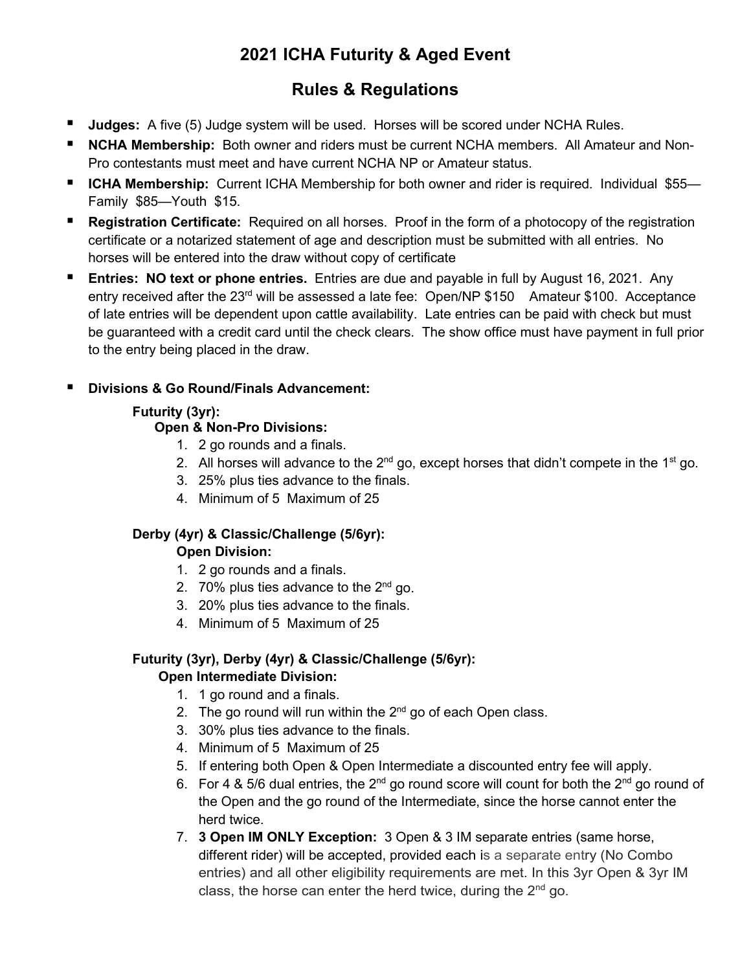# **2021 ICHA Futurity & Aged Event**

# **Rules & Regulations**

- **Judges:** A five (5) Judge system will be used. Horses will be scored under NCHA Rules.
- **NCHA Membership:** Both owner and riders must be current NCHA members. All Amateur and Non-Pro contestants must meet and have current NCHA NP or Amateur status.
- **ICHA Membership:** Current ICHA Membership for both owner and rider is required. Individual \$55— Family \$85—Youth \$15.
- **Registration Certificate:** Required on all horses. Proof in the form of a photocopy of the registration certificate or a notarized statement of age and description must be submitted with all entries. No horses will be entered into the draw without copy of certificate
- **Entries: NO text or phone entries.** Entries are due and payable in full by August 16, 2021. Any entry received after the 23<sup>rd</sup> will be assessed a late fee: Open/NP \$150 Amateur \$100. Acceptance of late entries will be dependent upon cattle availability. Late entries can be paid with check but must be guaranteed with a credit card until the check clears. The show office must have payment in full prior to the entry being placed in the draw.

# **Divisions & Go Round/Finals Advancement:**

# **Futurity (3yr):**

# **Open & Non-Pro Divisions:**

- 1. 2 go rounds and a finals.
- 2. All horses will advance to the  $2^{nd}$  go, except horses that didn't compete in the 1<sup>st</sup> go.
- 3. 25% plus ties advance to the finals.
- 4. Minimum of 5 Maximum of 25

#### **Derby (4yr) & Classic/Challenge (5/6yr): Open Division:**

- 1. 2 go rounds and a finals.
- 2.  $70\%$  plus ties advance to the  $2<sup>nd</sup>$  go.
- 3. 20% plus ties advance to the finals.
- 4. Minimum of 5 Maximum of 25

# **Futurity (3yr), Derby (4yr) & Classic/Challenge (5/6yr):**

#### **Open Intermediate Division:**

- 1. 1 go round and a finals.
- 2. The go round will run within the  $2<sup>nd</sup>$  go of each Open class.
- 3. 30% plus ties advance to the finals.
- 4. Minimum of 5 Maximum of 25
- 5. If entering both Open & Open Intermediate a discounted entry fee will apply.
- 6. For 4 & 5/6 dual entries, the  $2^{nd}$  go round score will count for both the  $2^{nd}$  go round of the Open and the go round of the Intermediate, since the horse cannot enter the herd twice.
- 7. **3 Open IM ONLY Exception:** 3 Open & 3 IM separate entries (same horse, different rider) will be accepted, provided each is a separate entry (No Combo entries) and all other eligibility requirements are met. In this 3yr Open & 3yr IM class, the horse can enter the herd twice, during the  $2<sup>nd</sup>$  go.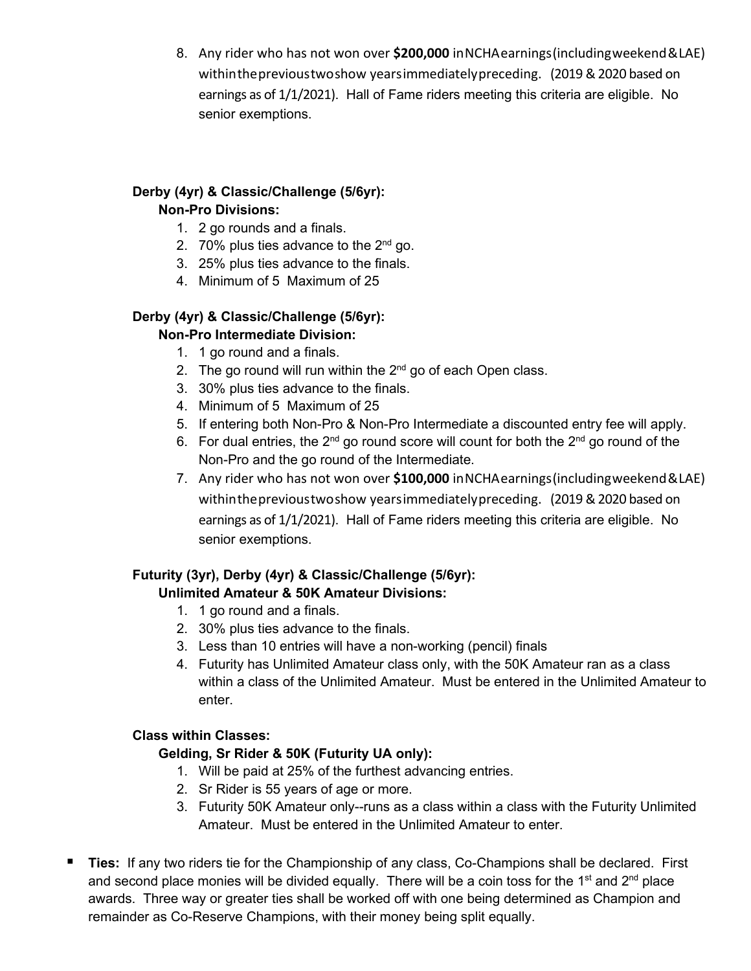8. Any rider who has not won over **\$200,000** inNCHAearnings(includingweekend&LAE) withintheprevioustwoshow yearsimmediatelypreceding. (2019 & 2020 based on earnings as of 1/1/2021). Hall of Fame riders meeting this criteria are eligible. No senior exemptions.

# **Derby (4yr) & Classic/Challenge (5/6yr): Non-Pro Divisions:**

- 1. 2 go rounds and a finals.
- 2. 70% plus ties advance to the  $2^{nd}$  go.
- 3. 25% plus ties advance to the finals.
- 4. Minimum of 5 Maximum of 25

### **Derby (4yr) & Classic/Challenge (5/6yr): Non-Pro Intermediate Division:**

- 1. 1 go round and a finals.
- 2. The go round will run within the  $2<sup>nd</sup>$  go of each Open class.
- 3. 30% plus ties advance to the finals.
- 4. Minimum of 5 Maximum of 25
- 5. If entering both Non-Pro & Non-Pro Intermediate a discounted entry fee will apply.
- 6. For dual entries, the  $2^{nd}$  go round score will count for both the  $2^{nd}$  go round of the Non-Pro and the go round of the Intermediate.
- 7. Any rider who has not won over **\$100,000** inNCHAearnings(includingweekend&LAE) withintheprevioustwoshow yearsimmediatelypreceding. (2019 & 2020 based on earnings as of 1/1/2021). Hall of Fame riders meeting this criteria are eligible. No senior exemptions.

# **Futurity (3yr), Derby (4yr) & Classic/Challenge (5/6yr):**

# **Unlimited Amateur & 50K Amateur Divisions:**

- 1. 1 go round and a finals.
- 2. 30% plus ties advance to the finals.
- 3. Less than 10 entries will have a non-working (pencil) finals
- 4. Futurity has Unlimited Amateur class only, with the 50K Amateur ran as a class within a class of the Unlimited Amateur. Must be entered in the Unlimited Amateur to enter.

#### **Class within Classes:**

#### **Gelding, Sr Rider & 50K (Futurity UA only):**

- 1. Will be paid at 25% of the furthest advancing entries.
- 2. Sr Rider is 55 years of age or more.
- 3. Futurity 50K Amateur only--runs as a class within a class with the Futurity Unlimited Amateur. Must be entered in the Unlimited Amateur to enter.
- **Ties:** If any two riders tie for the Championship of any class, Co-Champions shall be declared. First and second place monies will be divided equally. There will be a coin toss for the  $1<sup>st</sup>$  and  $2<sup>nd</sup>$  place awards. Three way or greater ties shall be worked off with one being determined as Champion and remainder as Co-Reserve Champions, with their money being split equally.